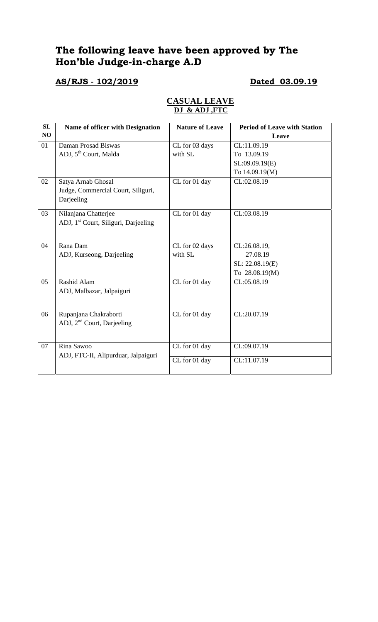# **The following leave have been approved by The Hon'ble Judge-in-charge A.D**

# **AS/RJS - 102/2019 Dated 03.09.19**

| SL | Name of officer with Designation                 | <b>Nature of Leave</b> | <b>Period of Leave with Station</b> |
|----|--------------------------------------------------|------------------------|-------------------------------------|
| NO |                                                  |                        | Leave                               |
| 01 | Daman Prosad Biswas                              | CL for 03 days         | CL:11.09.19                         |
|    | ADJ, 5 <sup>th</sup> Court, Malda                | with SL                | To 13.09.19                         |
|    |                                                  |                        | SL:09.09.19(E)                      |
|    |                                                  |                        | To 14.09.19(M)                      |
| 02 | Satya Arnab Ghosal                               | CL for 01 day          | CL:02.08.19                         |
|    | Judge, Commercial Court, Siliguri,               |                        |                                     |
|    | Darjeeling                                       |                        |                                     |
| 03 | Nilanjana Chatterjee                             | CL for 01 day          | CL:03.08.19                         |
|    | ADJ, 1 <sup>st</sup> Court, Siliguri, Darjeeling |                        |                                     |
|    |                                                  |                        |                                     |
| 04 | Rana Dam                                         | CL for 02 days         | CL:26.08.19,                        |
|    | ADJ, Kurseong, Darjeeling                        | with SL                | 27.08.19                            |
|    |                                                  |                        | SL: 22.08.19(E)                     |
|    |                                                  |                        | To 28.08.19(M)                      |
| 05 | Rashid Alam                                      | CL for 01 day          | CL:05.08.19                         |
|    | ADJ, Malbazar, Jalpaiguri                        |                        |                                     |
|    |                                                  |                        |                                     |
| 06 | Rupanjana Chakraborti                            | CL for 01 day          | CL:20.07.19                         |
|    | ADJ, 2 <sup>nd</sup> Court, Darjeeling           |                        |                                     |
|    |                                                  |                        |                                     |
| 07 | Rina Sawoo                                       | CL for 01 day          | CL:09.07.19                         |
|    | ADJ, FTC-II, Alipurduar, Jalpaiguri              |                        |                                     |
|    |                                                  | CL for 01 day          | CL:11.07.19                         |
|    |                                                  |                        |                                     |

### **CASUAL LEAVE DJ & ADJ ,FTC**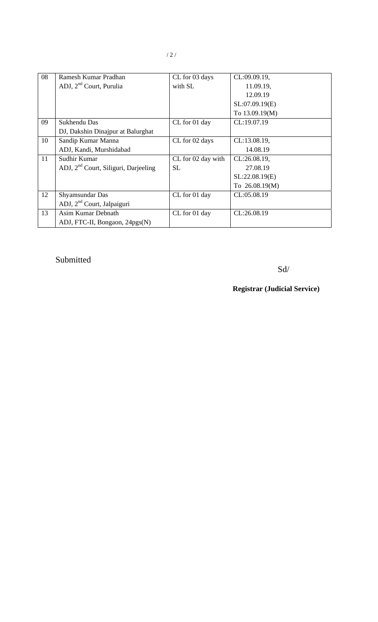| 08 | Ramesh Kumar Pradhan                             | CL for 03 days     | CL:09.09.19,     |
|----|--------------------------------------------------|--------------------|------------------|
|    | ADJ, 2 <sup>nd</sup> Court, Purulia              | with SL            | 11.09.19,        |
|    |                                                  |                    | 12.09.19         |
|    |                                                  |                    | SL:07.09.19(E)   |
|    |                                                  |                    | To 13.09.19(M)   |
| 09 | Sukhendu Das                                     | CL for 01 day      | CL:19.07.19      |
|    | DJ, Dakshin Dinajpur at Balurghat                |                    |                  |
| 10 | Sandip Kumar Manna                               | CL for 02 days     | CL:13.08.19,     |
|    | ADJ, Kandi, Murshidabad                          |                    | 14.08.19         |
| 11 | Sudhir Kumar                                     | CL for 02 day with | CL:26.08.19,     |
|    | ADJ, 2 <sup>nd</sup> Court, Siliguri, Darjeeling | SL.                | 27.08.19         |
|    |                                                  |                    | SL:22.08.19(E)   |
|    |                                                  |                    | To $26.08.19(M)$ |
| 12 | Shyamsundar Das                                  | CL for 01 day      | CL:05.08.19      |
|    | ADJ, 2 <sup>nd</sup> Court, Jalpaiguri           |                    |                  |
| 13 | Asim Kumar Debnath                               | CL for 01 day      | CL:26.08.19      |
|    | ADJ, FTC-II, Bongaon, 24pgs(N)                   |                    |                  |

# Submitted

Sd/

**Registrar (Judicial Service)**